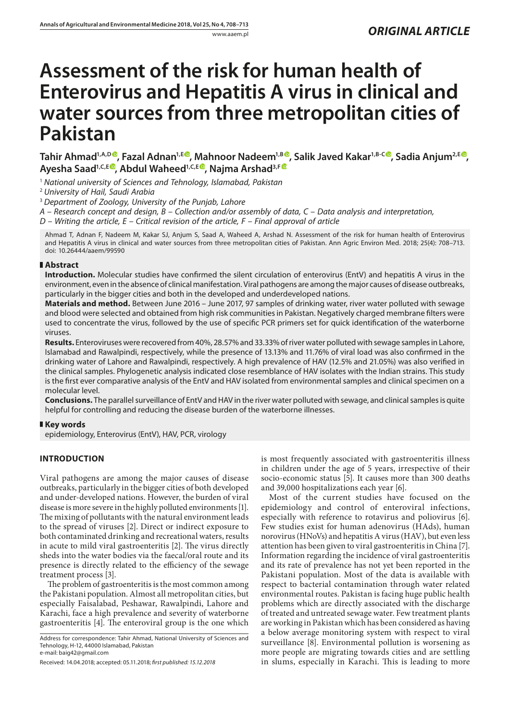www.aaem.pl *ORIGINAL ARTICLE* 

# **Assessment of the risk for human health of Enterovirus and Hepatitis A virus in clinical and water sources from three metropolitan cities of Pakistan**

**Tahir Ahmad1,A,D , Fazal Adnan1,E , Mahnoor Nadeem1,B [,](https://orcid.org/0000-0001-9024-4997) Salik Javed Kakar1,B-C [,](https://orcid.org/0000-0001-9209-0880) Sadia Anjum2,E [,](https://orcid.org/0000-0001-9678-7861) Ayesha Saad1,C,[E](https://orcid.org/0000-0003-4169-7484) , Abdul Waheed1,C,E , Najma Arshad3,F**

<sup>1</sup> *National university of Sciences and Tehnology, Islamabad, Pakistan*

<sup>2</sup> *University of Hail, Saudi Arabia*

<sup>3</sup> *Department of Zoology, University of the Punjab, Lahore*

*A – Research concept and design, B – Collection and/or assembly of data, C – Data analysis and interpretation,* 

*D – Writing the article, E – Critical revision of the article, F – Final approval of article*

Ahmad T, Adnan F, Nadeem M, Kakar SJ, Anjum S, Saad A, Waheed A, Arshad N. Assessment of the risk for human health of Enterovirus and Hepatitis A virus in clinical and water sources from three metropolitan cities of Pakistan. Ann Agric Environ Med. 2018; 25(4): 708–713. doi: 10.26444/aaem/99590

## **Abstract**

**Introduction.** Molecular studies have confirmed the silent circulation of enterovirus (EntV) and hepatitis A virus in the environment, even in the absence of clinical manifestation. Viral pathogens are among the major causes of disease outbreaks, particularly in the bigger cities and both in the developed and underdeveloped nations.

**Materials and method.** Between June 2016 – June 2017, 97 samples of drinking water, river water polluted with sewage and blood were selected and obtained from high risk communities in Pakistan. Negatively charged membrane filters were used to concentrate the virus, followed by the use of specific PCR primers set for quick identification of the waterborne viruses.

**Results.** Enteroviruses were recovered from 40%, 28.57% and 33.33% of river water polluted with sewage samples in Lahore, Islamabad and Rawalpindi, respectively, while the presence of 13.13% and 11.76% of viral load was also confirmed in the drinking water of Lahore and Rawalpindi, respectively. A high prevalence of HAV (12.5% and 21.05%) was also verified in the clinical samples. Phylogenetic analysis indicated close resemblance of HAV isolates with the Indian strains. This study is the first ever comparative analysis of the EntV and HAV isolated from environmental samples and clinical specimen on a molecular level.

**Conclusions.** The parallel surveillance of EntV and HAV in the river water polluted with sewage, and clinical samples is quite helpful for controlling and reducing the disease burden of the waterborne illnesses.

# **Key words**

epidemiology, Enterovirus (EntV), HAV, PCR, virology

# **INTRODUCTION**

Viral pathogens are among the major causes of disease outbreaks, particularly in the bigger cities of both developed and under-developed nations. However, the burden of viral disease is more severe in the highly polluted environments [1]. The mixing of pollutants with the natural environment leads to the spread of viruses [2]. Direct or indirect exposure to both contaminated drinking and recreational waters, results in acute to mild viral gastroenteritis [2]. The virus directly sheds into the water bodies via the faecal/oral route and its presence is directly related to the efficiency of the sewage treatment process [3].

The problem of gastroenteritis is the most common among the Pakistani population. Almost all metropolitan cities, but especially Faisalabad, Peshawar, Rawalpindi, Lahore and Karachi, face a high prevalence and severity of waterborne gastroenteritis [4]. The enteroviral group is the one which

Address for correspondence: Tahir Ahmad, National University of Sciences and Tehnology, H-12, 44000 Islamabad, Pakistan e-mail: baig42@gmail.com

is most frequently associated with gastroenteritis illness in children under the age of 5 years, irrespective of their socio-economic status [5]. It causes more than 300 deaths and 39,000 hospitalizations each year [6].

Most of the current studies have focused on the epidemiology and control of enteroviral infections, especially with reference to rotavirus and poliovirus [6]. Few studies exist for human adenovirus (HAds), human norovirus (HNoVs) and hepatitis A virus (HAV), but even less attention has been given to viral gastroenteritis in China [7]. Information regarding the incidence of viral gastroenteritis and its rate of prevalence has not yet been reported in the Pakistani population. Most of the data is available with respect to bacterial contamination through water related environmental routes. Pakistan is facing huge public health problems which are directly associated with the discharge of treated and untreated sewage water. Few treatment plants are working in Pakistan which has been considered as having a below average monitoring system with respect to viral surveillance [8]. Environmental pollution is worsening as more people are migrating towards cities and are settling in slums, especially in Karachi. This is leading to more

Received: 14.04.2018; accepted: 05.11.2018; *first published: 15.12.2018*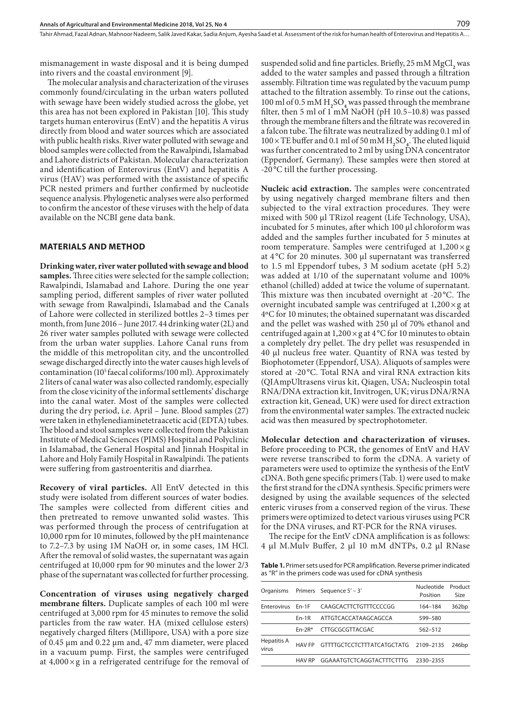Tahir Ahmad, Fazal Adnan, Mahnoor Nadeem, Salik Javed Kakar, Sadia Anjum, Ayesha Saad et al. Assessment of the risk for human health of Enterovirus and Hepatitis A…

mismanagement in waste disposal and it is being dumped into rivers and the coastal environment [9].

The molecular analysis and characterization of the viruses commonly found/circulating in the urban waters polluted with sewage have been widely studied across the globe, yet this area has not been explored in Pakistan [10]. This study targets human enterovirus (EntV) and the hepatitis A virus directly from blood and water sources which are associated with public health risks. River water polluted with sewage and blood samples were collected from the Rawalpindi, Islamabad and Lahore districts of Pakistan. Molecular characterization and identification of Enterovirus (EntV) and hepatitis A virus (HAV) was performed with the assistance of specific PCR nested primers and further confirmed by nucleotide sequence analysis. Phylogenetic analyses were also performed to confirm the ancestor of these viruses with the help of data available on the NCBI gene data bank.

#### **MATERIALS AND METHOD**

**Drinking water, river water polluted with sewage and blood samples.** Three cities were selected for the sample collection; Rawalpindi, Islamabad and Lahore. During the one year sampling period, different samples of river water polluted with sewage from Rawalpindi, Islamabad and the Canals of Lahore were collected in sterilized bottles 2–3 times per month, from June 2016 – June 2017. 44 drinking water (2L) and 26 river water samples polluted with sewage were collected from the urban water supplies. Lahore Canal runs from the middle of this metropolitan city, and the uncontrolled sewage discharged directly into the water causes high levels of contamination (105 faecal coliforms/100 ml). Approximately 2 liters of canal water was also collected randomly, especially from the close vicinity of the informal settlements' discharge into the canal water. Most of the samples were collected during the dry period, i.e. April – June. Blood samples (27) were taken in ethylenediaminetetraacetic acid (EDTA) tubes. The blood and stool samples were collected from the Pakistan Institute of Medical Sciences (PIMS) Hospital and Polyclinic in Islamabad, the General Hospital and Jinnah Hospital in Lahore and Holy Family Hospital in Rawalpindi. The patients were suffering from gastroenteritis and diarrhea.

**Recovery of viral particles.** All EntV detected in this study were isolated from different sources of water bodies. The samples were collected from different cities and then pretreated to remove unwanted solid wastes. This was performed through the process of centrifugation at 10,000 rpm for 10 minutes, followed by the pH maintenance to 7.2–7.3 by using 1M NaOH or, in some cases, 1M HCl. After the removal of solid wastes, the supernatant was again centrifuged at 10,000 rpm for 90 minutes and the lower 2/3 phase of the supernatant was collected for further processing.

**Concentration of viruses using negatively charged membrane filters.** Duplicate samples of each 100 ml were centrifuged at 3,000 rpm for 45 minutes to remove the solid particles from the raw water. HA (mixed cellulose esters) negatively charged filters (Millipore, USA) with a pore size of 0.45 µm and 0.22 µm and, 47 mm diameter, were placed in a vacuum pump. First, the samples were centrifuged at  $4,000 \times g$  in a refrigerated centrifuge for the removal of

suspended solid and fine particles. Briefly, 25 mM MgCl<sub>2</sub> was added to the water samples and passed through a filtration assembly. Filtration time was regulated by the vacuum pump attached to the filtration assembly. To rinse out the cations, 100 ml of 0.5 mM  $H_2$  SO<sub>4</sub> was passed through the membrane filter, then 5 ml of 1 mM NaOH (pH 10.5–10.8) was passed through the membrane filters and the filtrate was recovered in a falcon tube. The filtrate was neutralized by adding 0.1 ml of  $100 \times$  TE buffer and 0.1 ml of 50 mM H<sub>2</sub>SO<sub>4</sub>. The eluted liquid was further concentrated to 2 ml by using DNA concentrator (Eppendorf, Germany). These samples were then stored at -20 °C till the further processing.

**Nucleic acid extraction.** The samples were concentrated by using negatively charged membrane filters and then subjected to the viral extraction procedures. They were mixed with 500 µl TRizol reagent (Life Technology, USA), incubated for 5 minutes, after which 100 µl chloroform was added and the samples further incubated for 5 minutes at room temperature. Samples were centrifuged at  $1,200 \times g$ at 4 °C for 20 minutes. 300 µl supernatant was transferred to 1.5 ml Eppendorf tubes, 3 M sodium acetate (pH 5.2) was added at 1/10 of the supernatant volume and 100% ethanol (chilled) added at twice the volume of supernatant. This mixture was then incubated overnight at -20 °C. The overnight incubated sample was centrifuged at  $1,200 \times g$  at 4ºC for 10 minutes; the obtained supernatant was discarded and the pellet was washed with 250 µl of 70% ethanol and centrifuged again at  $1,200 \times g$  at  $4^{\circ}$ C for 10 minutes to obtain a completely dry pellet. The dry pellet was resuspended in 40 µl nucleus free water. Quantity of RNA was tested by Biophotometer (Eppendorf, USA). Aliquots of samples were stored at -20 °C. Total RNA and viral RNA extraction kits (QIAmpUltrasens virus kit, Qiagen, USA; Nucleospin total RNA/DNA extraction kit, Invitrogen, UK; virus DNA/RNA extraction kit, Genead, UK) were used for direct extraction from the environmental water samples. The extracted nucleic acid was then measured by spectrophotometer.

**Molecular detection and characterization of viruses.**  Before proceeding to PCR, the genomes of EntV and HAV were reverse transcribed to form the cDNA. A variety of parameters were used to optimize the synthesis of the EntV cDNA. Both gene specific primers (Tab. 1) were used to make the first strand for the cDNA synthesis. Specific primers were designed by using the available sequences of the selected enteric viruses from a conserved region of the virus. These primers were optimized to detect various viruses using PCR for the DNA viruses, and RT-PCR for the RNA viruses.

The recipe for the EntV cDNA amplification is as follows: 4 µl M.Mulv Buffer, 2 µl 10 mM dNTPs, 0.2 µl RNase

**Table 1.** Primer sets used for PCR amplification. Reverse primer indicated as "R" in the primers code was used for cDNA synthesis

|                             |          | Organisms Primers Sequence 5' - 3'          | Nucleotide Product<br>Position | Size              |
|-----------------------------|----------|---------------------------------------------|--------------------------------|-------------------|
| Enterovirus                 | $Fn-1F$  | CAAGCACTTCTGTTTCCCCGG                       | 164-184                        | 362bp             |
|                             | $Fn-1R$  | ATTGTCACCATAAGCAGCCA                        | 599-580                        |                   |
|                             | $Fn-2R*$ | CTTGCGCGTTACGAC                             | 562-512                        |                   |
| <b>Hepatitis A</b><br>virus |          | HAV FP GTTTTGCTCCTCTTTATCATGCTATG 2109-2135 |                                | 246 <sub>bp</sub> |
|                             | HAV RP   | GGAAATGTCTCAGGTACTTTCTTTG                   | 2330-2355                      |                   |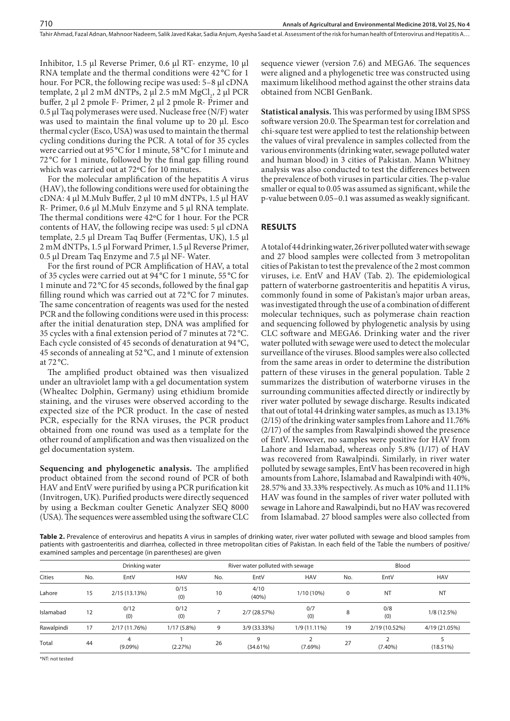Tahir Ahmad, Fazal Adnan, Mahnoor Nadeem, Salik Javed Kakar, Sadia Anjum, Ayesha Saad et al. Assessment of the risk for human health of Enterovirus and Hepatitis A…

Inhibitor, 1.5 µl Reverse Primer, 0.6 µl RT- enzyme, 10 µl RNA template and the thermal conditions were 42 °C for 1 hour. For PCR, the following recipe was used: 5–8 µl cDNA template, 2 µl 2 mM dNTPs, 2 µl 2.5 mM MgCl<sub>2</sub>, 2 µl PCR buffer, 2 µl 2 pmole F- Primer, 2 µl 2 pmole R- Primer and 0.5 µl Taq polymerases were used. Nuclease free (N/F) water was used to maintain the final volume up to 20  $\mu$ l. Esco thermal cycler (Esco, USA) was used to maintain the thermal cycling conditions during the PCR. A total of for 35 cycles were carried out at 95 °C for 1 minute, 58 °C for 1 minute and 72 °C for 1 minute, followed by the final gap filling round which was carried out at 72ºC for 10 minutes.

For the molecular amplification of the hepatitis A virus (HAV), the following conditions were used for obtaining the cDNA: 4 µl M.Mulv Buffer, 2 µl 10 mM dNTPs, 1.5 µl HAV R- Primer, 0.6 µl M.Mulv Enzyme and 5 µl RNA template. The thermal conditions were 42ºC for 1 hour. For the PCR contents of HAV, the following recipe was used: 5 µl cDNA template, 2.5 µl Dream Taq Buffer (Fermentas, UK), 1.5 µl 2 mM dNTPs, 1.5 µl Forward Primer, 1.5 µl Reverse Primer, 0.5 µl Dream Taq Enzyme and 7.5 µl NF- Water.

For the first round of PCR Amplification of HAV, a total of 35 cycles were carried out at 94 °C for 1 minute, 55 °C for 1 minute and 72 °C for 45 seconds, followed by the final gap filling round which was carried out at 72 °C for 7 minutes. The same concentration of reagents was used for the nested PCR and the following conditions were used in this process: after the initial denaturation step, DNA was amplified for 35 cycles with a final extension period of 7 minutes at 72 °C. Each cycle consisted of 45 seconds of denaturation at 94 °C, 45 seconds of annealing at 52 °C, and 1 minute of extension at  $72^{\circ}$ C.

The amplified product obtained was then visualized under an ultraviolet lamp with a gel documentation system (Whealtec Dolphin, Germany) using ethidium bromide staining, and the viruses were observed according to the expected size of the PCR product. In the case of nested PCR, especially for the RNA viruses, the PCR product obtained from one round was used as a template for the other round of amplification and was then visualized on the gel documentation system.

**Sequencing and phylogenetic analysis.** The amplified product obtained from the second round of PCR of both HAV and EntV were purified by using a PCR purification kit (Invitrogen, UK). Purified products were directly sequenced by using a Beckman coulter Genetic Analyzer SEQ 8000 (USA). The sequences were assembled using the software CLC

sequence viewer (version 7.6) and MEGA6. The sequences were aligned and a phylogenetic tree was constructed using maximum likelihood method against the other strains data obtained from NCBI GenBank.

**Statistical analysis.** This was performed by using IBM SPSS software version 20.0. The Spearman test for correlation and chi-square test were applied to test the relationship between the values of viral prevalence in samples collected from the various environments (drinking water, sewage polluted water and human blood) in 3 cities of Pakistan. Mann Whitney analysis was also conducted to test the differences between the prevalence of both viruses in particular cities. The p-value smaller or equal to 0.05 was assumed as significant, while the p-value between 0.05–0.1 was assumed as weakly significant.

## **RESULTS**

A total of 44 drinking water, 26 river polluted water with sewage and 27 blood samples were collected from 3 metropolitan cities of Pakistan to test the prevalence of the 2 most common viruses, i.e. EntV and HAV (Tab. 2). The epidemiological pattern of waterborne gastroenteritis and hepatitis A virus, commonly found in some of Pakistan's major urban areas, was investigated through the use of a combination of different molecular techniques, such as polymerase chain reaction and sequencing followed by phylogenetic analysis by using CLC software and MEGA6. Drinking water and the river water polluted with sewage were used to detect the molecular surveillance of the viruses. Blood samples were also collected from the same areas in order to determine the distribution pattern of these viruses in the general population. Table 2 summarizes the distribution of waterborne viruses in the surrounding communities affected directly or indirectly by river water polluted by sewage discharge. Results indicated that out of total 44 drinking water samples, as much as 13.13% (2/15) of the drinking water samples from Lahore and 11.76% (2/17) of the samples from Rawalpindi showed the presence of EntV. However, no samples were positive for HAV from Lahore and Islamabad, whereas only 5.8% (1/17) of HAV was recovered from Rawalpindi. Similarly, in river water polluted by sewage samples, EntV has been recovered in high amounts from Lahore, Islamabad and Rawalpindi with 40%, 28.57% and 33.33% respectively. As much as 10% and 11.11% HAV was found in the samples of river water polluted with sewage in Lahore and Rawalpindi, but no HAV was recovered from Islamabad. 27 blood samples were also collected from

Table 2. Prevalence of enterovirus and hepatits A virus in samples of drinking water, river water polluted with sewage and blood samples from patients with gastroenteritis and diarrhea, collected in three metropolitan cities of Pakistan. In each field of the Table the numbers of positive/ examined samples and percentage (in parentheses) are given

| Cities     | Drinking water |                 |               | River water polluted with sewage |               |              |             | Blood         |               |
|------------|----------------|-----------------|---------------|----------------------------------|---------------|--------------|-------------|---------------|---------------|
|            | No.            | EntV            | <b>HAV</b>    | No.                              | EntV          | <b>HAV</b>   | No.         | EntV          | <b>HAV</b>    |
| Lahore     | 15             | 2/15(13.13%)    | 0/15<br>(0)   | 10                               | 4/10<br>(40%) | 1/10 (10%)   | $\mathbf 0$ | <b>NT</b>     | <b>NT</b>     |
| Islamabad  | 12             | 0/12<br>(0)     | 0/12<br>(0)   |                                  | 2/7 (28.57%)  | 0/7<br>(0)   | 8           | 0/8<br>(0)    | 1/8(12.5%)    |
| Rawalpindi | 17             | 2/17 (11.76%)   | $1/17(5.8\%)$ | 9                                | 3/9 (33.33%)  | 1/9 (11.11%) | 19          | 2/19 (10.52%) | 4/19 (21.05%) |
| Total      | 44             | 4<br>$(9.09\%)$ | (2.27%)       | 26                               | q<br>(34.61%) | $(7.69\%)$   | 27          | $(7.40\%)$    | (18.51%)      |

\*NT: not tested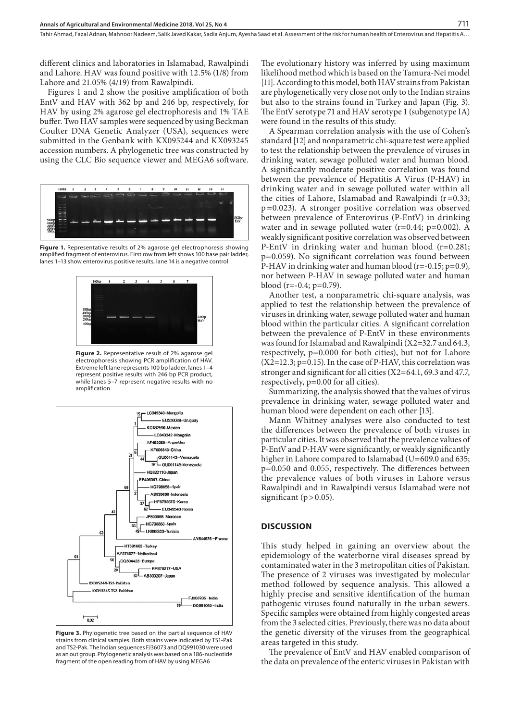Tahir Ahmad, Fazal Adnan, Mahnoor Nadeem, Salik Javed Kakar, Sadia Anjum, Ayesha Saad et al. Assessment of the risk for human health of Enterovirus and Hepatitis A…

different clinics and laboratories in Islamabad, Rawalpindi and Lahore. HAV was found positive with 12.5% (1/8) from Lahore and 21.05% (4/19) from Rawalpindi.

Figures 1 and 2 show the positive amplification of both EntV and HAV with 362 bp and 246 bp, respectively, for HAV by using 2% agarose gel electrophoresis and 1% TAE buffer. Two HAV samples were sequenced by using Beckman Coulter DNA Genetic Analyzer (USA), sequences were submitted in the Genbank with KX095244 and KX093245 accession numbers. A phylogenetic tree was constructed by using the CLC Bio sequence viewer and MEGA6 software.



**Figure 1.** Representative results of 2% agarose gel electrophoresis showing amplified fragment of enterovirus. First row from left shows 100 base pair ladder, lanes 1–13 show enterovirus positive results, lane 14 is a negative control



**Figure 2.** Representative result of 2% agarose gel electrophoresis showing PCR amplification of HAV. Extreme left lane represents 100 bp ladder, lanes 1–4 represent positive results with 246 bp PCR product, while lanes 5–7 represent negative results with no amplification



**Figure 3.** Phylogenetic tree based on the partial sequence of HAV strains from clinical samples. Both strains were indicated by TS1-Pak and TS2-Pak. The Indian sequences FJ36073 and DQ991030 were used as an out group. Phylogenetic analysis was based on a 186-nucleotide fragment of the open reading from of HAV by using MEGA6

The evolutionary history was inferred by using maximum likelihood method which is based on the Tamura-Nei model [11]. According to this model, both HAV strains from Pakistan are phylogenetically very close not only to the Indian strains but also to the strains found in Turkey and Japan (Fig. 3). The EntV serotype 71 and HAV serotype 1 (subgenotype IA) were found in the results of this study.

A Spearman correlation analysis with the use of Cohen's standard [12] and nonparametric chi-square test were applied to test the relationship between the prevalence of viruses in drinking water, sewage polluted water and human blood. A significantly moderate positive correlation was found between the prevalence of Hepatitis A Virus (P-HAV) in drinking water and in sewage polluted water within all the cities of Lahore, Islamabad and Rawalpindi  $(r=0.33;$ p=0.023). A stronger positive correlation was observed between prevalence of Enterovirus (P-EntV) in drinking water and in sewage polluted water  $(r=0.44; p=0.002)$ . A weakly significant positive correlation was observed between P-EntV in drinking water and human blood (r=0.281; p=0.059). No significant correlation was found between P-HAV in drinking water and human blood  $(r=-0.15; p=0.9)$ , nor between P-HAV in sewage polluted water and human blood  $(r=-0.4; p=0.79)$ .

Another test, a nonparametric chi-square analysis, was applied to test the relationship between the prevalence of viruses in drinking water, sewage polluted water and human blood within the particular cities. A significant correlation between the prevalence of P-EntV in these environments was found for Islamabad and Rawalpindi (X2=32.7 and 64.3, respectively, p=0.000 for both cities), but not for Lahore  $(X2=12.3; p=0.15)$ . In the case of P-HAV, this correlation was stronger and significant for all cities (X2=64.1, 69.3 and 47.7, respectively, p=0.00 for all cities).

Summarizing, the analysis showed that the values of virus prevalence in drinking water, sewage polluted water and human blood were dependent on each other [13].

Mann Whitney analyses were also conducted to test the differences between the prevalence of both viruses in particular cities. It was observed that the prevalence values of P-EntV and P-HAV were significantly, or weakly significantly higher in Lahore compared to Islamabad (U=609.0 and 635; p=0.050 and 0.055, respectively. The differences between the prevalence values of both viruses in Lahore versus Rawalpindi and in Rawalpindi versus Islamabad were not significant ( $p > 0.05$ ).

## **DISCUSSION**

This study helped in gaining an overview about the epidemiology of the waterborne viral diseases spread by contaminated water in the 3 metropolitan cities of Pakistan. The presence of 2 viruses was investigated by molecular method followed by sequence analysis. This allowed a highly precise and sensitive identification of the human pathogenic viruses found naturally in the urban sewers. Specific samples were obtained from highly congested areas from the 3 selected cities. Previously, there was no data about the genetic diversity of the viruses from the geographical areas targeted in this study.

The prevalence of EntV and HAV enabled comparison of the data on prevalence of the enteric viruses in Pakistan with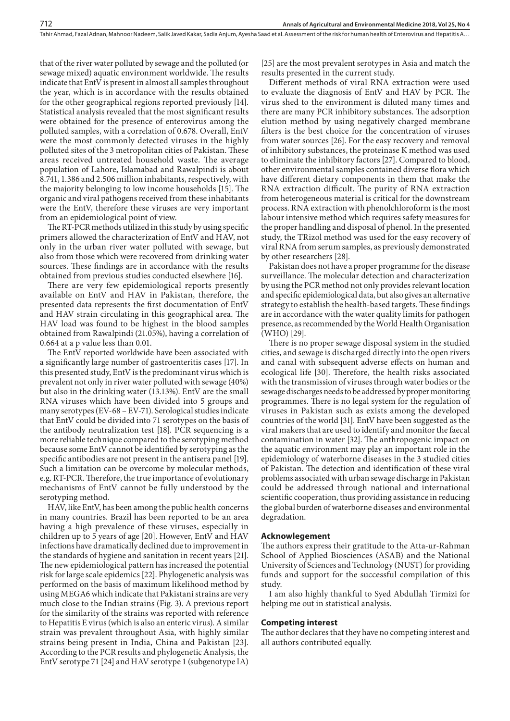that of the river water polluted by sewage and the polluted (or sewage mixed) aquatic environment worldwide. The results indicate that EntV is present in almost all samples throughout the year, which is in accordance with the results obtained for the other geographical regions reported previously [14]. Statistical analysis revealed that the most significant results were obtained for the presence of enterovirus among the polluted samples, with a correlation of 0.678. Overall, EntV were the most commonly detected viruses in the highly polluted sites of the 3 metropolitan cities of Pakistan. These areas received untreated household waste. The average population of Lahore, Islamabad and Rawalpindi is about 8.741, 1.386 and 2.506 million inhabitants, respectively, with the majority belonging to low income households [15]. The organic and viral pathogens received from these inhabitants were the EntV, therefore these viruses are very important from an epidemiological point of view.

The RT-PCR methods utilized in this study by using specific primers allowed the characterization of EntV and HAV, not only in the urban river water polluted with sewage, but also from those which were recovered from drinking water sources. These findings are in accordance with the results obtained from previous studies conducted elsewhere [16].

There are very few epidemiological reports presently available on EntV and HAV in Pakistan, therefore, the presented data represents the first documentation of EntV and HAV strain circulating in this geographical area. The HAV load was found to be highest in the blood samples obtained from Rawalpindi (21.05%), having a correlation of 0.664 at a p value less than 0.01.

The EntV reported worldwide have been associated with a significantly large number of gastroenteritis cases [17]. In this presented study, EntV is the predominant virus which is prevalent not only in river water polluted with sewage (40%) but also in the drinking water (13.13%). EntV are the small RNA viruses which have been divided into 5 groups and many serotypes (EV-68 – EV-71). Serological studies indicate that EntV could be divided into 71 serotypes on the basis of the antibody neutralization test [18]. PCR sequencing is a more reliable technique compared to the serotyping method because some EntV cannot be identified by serotyping as the specific antibodies are not present in the antisera panel [19]. Such a limitation can be overcome by molecular methods, e.g. RT-PCR. Therefore, the true importance of evolutionary mechanisms of EntV cannot be fully understood by the serotyping method.

HAV, like EntV, has been among the public health concerns in many countries. Brazil has been reported to be an area having a high prevalence of these viruses, especially in children up to 5 years of age [20]. However, EntV and HAV infections have dramatically declined due to improvement in the standards of hygiene and sanitation in recent years [21]. The new epidemiological pattern has increased the potential risk for large scale epidemics [22]. Phylogenetic analysis was performed on the basis of maximum likelihood method by using MEGA6 which indicate that Pakistani strains are very much close to the Indian strains (Fig. 3). A previous report for the similarity of the strains was reported with reference to Hepatitis E virus (which is also an enteric virus). A similar strain was prevalent throughout Asia, with highly similar strains being present in India, China and Pakistan [23]. According to the PCR results and phylogenetic Analysis, the EntV serotype 71 [24] and HAV serotype 1 (subgenotype IA)

[25] are the most prevalent serotypes in Asia and match the results presented in the current study.

Different methods of viral RNA extraction were used to evaluate the diagnosis of EntV and HAV by PCR. The virus shed to the environment is diluted many times and there are many PCR inhibitory substances. The adsorption elution method by using negatively charged membrane filters is the best choice for the concentration of viruses from water sources [26]. For the easy recovery and removal of inhibitory substances, the proteinase K method was used to eliminate the inhibitory factors [27]. Compared to blood, other environmental samples contained diverse flora which have different dietary components in them that make the RNA extraction difficult. The purity of RNA extraction from heterogeneous material is critical for the downstream process. RNA extraction with phenolchloroform is the most labour intensive method which requires safety measures for the proper handling and disposal of phenol. In the presented study, the TRizol method was used for the easy recovery of viral RNA from serum samples, as previously demonstrated by other researchers [28].

Pakistan does not have a proper programme for the disease surveillance. The molecular detection and characterization by using the PCR method not only provides relevant location and specific epidemiological data, but also gives an alternative strategy to establish the health-based targets. These findings are in accordance with the water quality limits for pathogen presence, as recommended by the World Health Organisation (WHO) [29].

There is no proper sewage disposal system in the studied cities, and sewage is discharged directly into the open rivers and canal with subsequent adverse effects on human and ecological life [30]. Therefore, the health risks associated with the transmission of viruses through water bodies or the sewage discharges needs to be addressed by proper monitoring programmes. There is no legal system for the regulation of viruses in Pakistan such as exists among the developed countries of the world [31]. EntV have been suggested as the viral makers that are used to identify and monitor the faecal contamination in water [32]. The anthropogenic impact on the aquatic environment may play an important role in the epidemiology of waterborne diseases in the 3 studied cities of Pakistan. The detection and identification of these viral problems associated with urban sewage discharge in Pakistan could be addressed through national and international scientific cooperation, thus providing assistance in reducing the global burden of waterborne diseases and environmental degradation.

#### **Acknowlegement**

The authors express their gratitude to the Atta-ur-Rahman School of Applied Biosciences (ASAB) and the National University of Sciences and Technology (NUST) for providing funds and support for the successful compilation of this study.

I am also highly thankful to Syed Abdullah Tirmizi for helping me out in statistical analysis.

#### **Competing interest**

The author declares that they have no competing interest and all authors contributed equally.